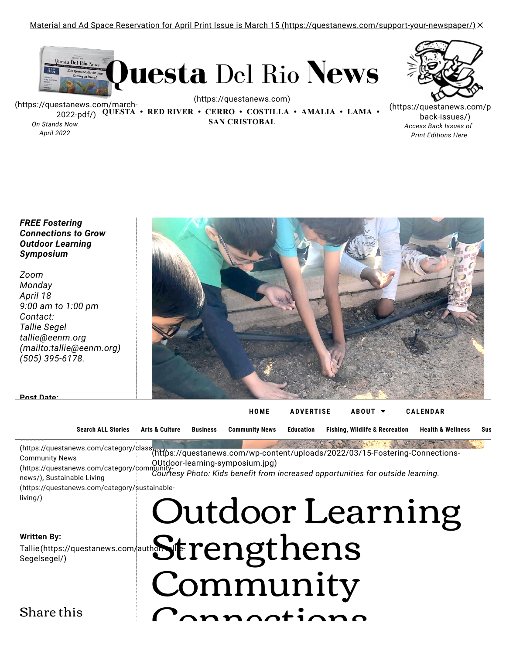[Material and Ad Space Reservation for April Print Issue is March 15 \(https://questanews.com/support-your-newspaper/\)](https://questanews.com/support-your-newspaper/) $\times$ 



[\(https://questanews.com/march-](https://questanews.com/march-2022-pdf/)2022-pdf/) **QUESTA • RED RIVER • CERRO • COSTILLA • AMALIA • LAMA •**  *On Stands Now*

*April 2022*

[\(https://questanews.com\)](https://questanews.com/)

**SAN CRISTOBAL**

[\(https://questanews.com/p](https://questanews.com/pdf-back-issues/) back-issues/) *Access Back Issues of Print Editions Here*

*FREE Fostering Connections to Grow Outdoor Learning Symposium*

*Zoom Monday April 18 9:00 am to 1:00 pm Contact: Tallie Segel tallie@eenm.org [\(mailto:tallie@eenm.org\)](mailto:tallie@eenm.org) (505) 395-6178.*



|  |  | Search ALL Stories Arts & Culture Business Community News Education Fishing, Wildlife & Recreation Health & Wellness | Sus |
|--|--|----------------------------------------------------------------------------------------------------------------------|-----|

, https://questanews.com/category/class) Community News [\(https://questanews.com/wp-content/uploads/2022/03/15-Fostering-Connections-](https://questanews.com/wp-content/uploads/2022/03/15-Fostering-Connections-OUtdoor-learning-symposium.jpg)OUtdoor-learning-symposium.jpg)

[\(https://questanews.com/category/community](https://questanews.com/category/community-news/)news/), Sustainable Living *Courtesy Photo: Kids benefit from increased opportunities for outside learning.* [\(https://questanews.com/category/sustainable-](https://questanews.com/category/sustainable-living/)

living/)

classes

**Post Date:**

#### **Written By:**

Tallie Segel [\(https://questanews.com/author/tallie-](https://questanews.com/author/tallie-segel/)

Share this

# $\mathcal{S}_{\mathsf{S}}^{(\textsf{https://question/averators.com/auth} \frown \mathsf{https://query.com/auth} \frown \mathsf{https://query.com/auth} \frown \mathsf{https://query.com/auth} \frown \mathsf{https://query.com/auth} \frown \mathsf{https://query.com/auth} \frown \mathsf{https://query.com/auth} \frown \mathsf{https://query.com/auth} \frown \mathsf{https://query.com/auth} \frown \mathsf{https://query.com/auth} \frown \mathsf{https://query.com/auth} \frown \mathsf{https://query.com/auth} \frown \mathsf{https://query.com/auth} \frown \mathsf{https://query.com/$ Outdoor Learning Community  $C$ annaatiana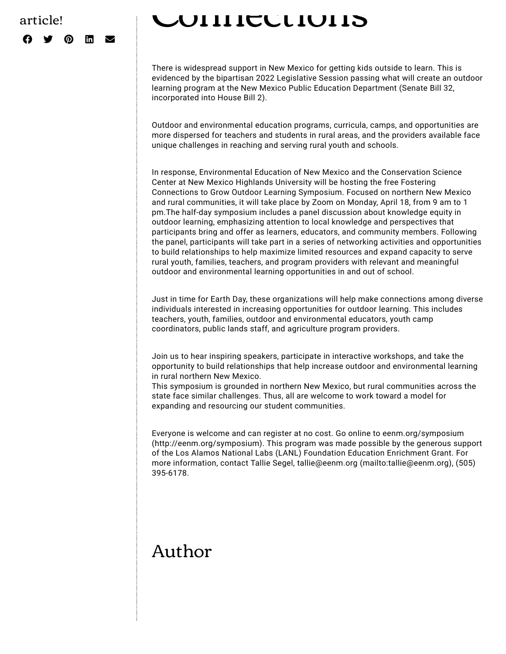## article!  $\boldsymbol{\Omega}$  )  $\boldsymbol{\Omega}$  in  $\boldsymbol{\Sigma}$

# Connections

There is widespread support in New Mexico for getting kids outside to learn. This is evidenced by the bipartisan 2022 Legislative Session passing what will create an outdoor learning program at the New Mexico Public Education Department (Senate Bill 32, incorporated into House Bill 2).

Outdoor and environmental education programs, curricula, camps, and opportunities are more dispersed for teachers and students in rural areas, and the providers available face unique challenges in reaching and serving rural youth and schools.

In response, Environmental Education of New Mexico and the Conservation Science Center at New Mexico Highlands University will be hosting the free Fostering Connections to Grow Outdoor Learning Symposium. Focused on northern New Mexico and rural communities, it will take place by Zoom on Monday, April 18, from 9 am to 1 pm.The half-day symposium includes a panel discussion about knowledge equity in outdoor learning, emphasizing attention to local knowledge and perspectives that participants bring and offer as learners, educators, and community members. Following the panel, participants will take part in a series of networking activities and opportunities to build relationships to help maximize limited resources and expand capacity to serve rural youth, families, teachers, and program providers with relevant and meaningful outdoor and environmental learning opportunities in and out of school.

Just in time for Earth Day, these organizations will help make connections among diverse individuals interested in increasing opportunities for outdoor learning. This includes teachers, youth, families, outdoor and environmental educators, youth camp coordinators, public lands staff, and agriculture program providers.

Join us to hear inspiring speakers, participate in interactive workshops, and take the opportunity to build relationships that help increase outdoor and environmental learning in rural northern New Mexico.

This symposium is grounded in northern New Mexico, but rural communities across the state face similar challenges. Thus, all are welcome to work toward a model for expanding and resourcing our student communities.

Everyone is welcome and can register at no cost. Go online to eenm.org/symposium [\(http://eenm.org/symposium\). This program was made possible by the generous sup](http://eenm.org/symposium)port of the Los Alamos National Labs (LANL) Foundation Education Enrichment Grant. For more information, contact Tallie Segel, [tallie@eenm.org \(mailto:tallie@eenm.org\),](mailto:tallie@eenm.org) (505) 395-6178.

# Author